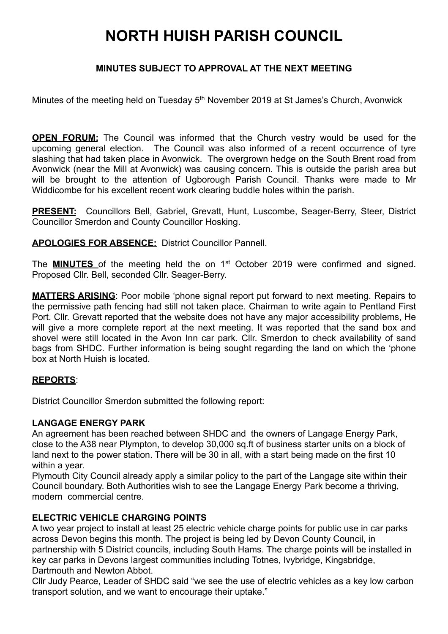# **NORTH HUISH PARISH COUNCIL**

# **MINUTES SUBJECT TO APPROVAL AT THE NEXT MEETING**

Minutes of the meeting held on Tuesday 5<sup>th</sup> November 2019 at St James's Church, Avonwick

**OPEN FORUM:** The Council was informed that the Church vestry would be used for the upcoming general election. The Council was also informed of a recent occurrence of tyre slashing that had taken place in Avonwick. The overgrown hedge on the South Brent road from Avonwick (near the Mill at Avonwick) was causing concern. This is outside the parish area but will be brought to the attention of Ugborough Parish Council. Thanks were made to Mr Widdicombe for his excellent recent work clearing buddle holes within the parish.

**PRESENT:** Councillors Bell, Gabriel, Grevatt, Hunt, Luscombe, Seager-Berry, Steer, District Councillor Smerdon and County Councillor Hosking.

**APOLOGIES FOR ABSENCE:** District Councillor Pannell.

The **MINUTES** of the meeting held the on 1st October 2019 were confirmed and signed. Proposed Cllr. Bell, seconded Cllr. Seager-Berry.

**MATTERS ARISING**: Poor mobile 'phone signal report put forward to next meeting. Repairs to the permissive path fencing had still not taken place. Chairman to write again to Pentland First Port. Cllr. Grevatt reported that the website does not have any major accessibility problems, He will give a more complete report at the next meeting. It was reported that the sand box and shovel were still located in the Avon Inn car park. Cllr. Smerdon to check availability of sand bags from SHDC. Further information is being sought regarding the land on which the 'phone box at North Huish is located.

#### **REPORTS**:

District Councillor Smerdon submitted the following report:

#### **LANGAGE ENERGY PARK**

An agreement has been reached between SHDC and the owners of Langage Energy Park, close to the A38 near Plympton, to develop 30,000 sq.ft of business starter units on a block of land next to the power station. There will be 30 in all, with a start being made on the first 10 within a year.

Plymouth City Council already apply a similar policy to the part of the Langage site within their Council boundary. Both Authorities wish to see the Langage Energy Park become a thriving, modern commercial centre.

#### **ELECTRIC VEHICLE CHARGING POINTS**

A two year project to install at least 25 electric vehicle charge points for public use in car parks across Devon begins this month. The project is being led by Devon County Council, in partnership with 5 District councils, including South Hams. The charge points will be installed in key car parks in Devons largest communities including Totnes, Ivybridge, Kingsbridge, Dartmouth and Newton Abbot.

Cllr Judy Pearce, Leader of SHDC said "we see the use of electric vehicles as a key low carbon transport solution, and we want to encourage their uptake."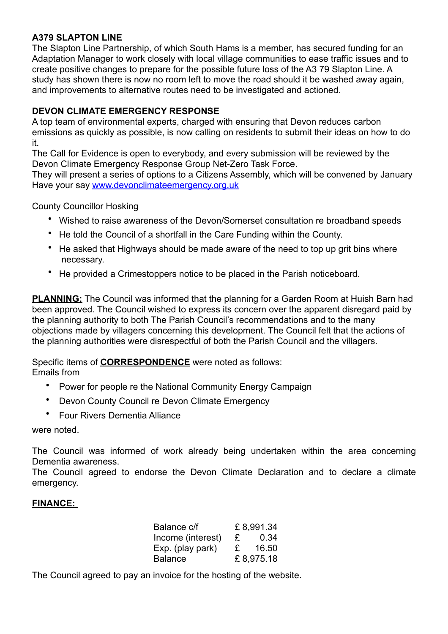# **A379 SLAPTON LINE**

The Slapton Line Partnership, of which South Hams is a member, has secured funding for an Adaptation Manager to work closely with local village communities to ease traffic issues and to create positive changes to prepare for the possible future loss of the A3 79 Slapton Line. A study has shown there is now no room left to move the road should it be washed away again, and improvements to alternative routes need to be investigated and actioned.

# **DEVON CLIMATE EMERGENCY RESPONSE**

A top team of environmental experts, charged with ensuring that Devon reduces carbon emissions as quickly as possible, is now calling on residents to submit their ideas on how to do it.

The Call for Evidence is open to everybody, and every submission will be reviewed by the Devon Climate Emergency Response Group Net-Zero Task Force.

They will present a series of options to a Citizens Assembly, which will be convened by January Have your say [www.devonclimateemergency.org.uk](http://www.devonclimateemergency.org.uk)

County Councillor Hosking

- Wished to raise awareness of the Devon/Somerset consultation re broadband speeds
- He told the Council of a shortfall in the Care Funding within the County.
- He asked that Highways should be made aware of the need to top up grit bins where necessary.
- He provided a Crimestoppers notice to be placed in the Parish noticeboard.

**PLANNING:** The Council was informed that the planning for a Garden Room at Huish Barn had been approved. The Council wished to express its concern over the apparent disregard paid by the planning authority to both The Parish Council's recommendations and to the many objections made by villagers concerning this development. The Council felt that the actions of the planning authorities were disrespectful of both the Parish Council and the villagers.

Specific items of **CORRESPONDENCE** were noted as follows: Emails from

- Power for people re the National Community Energy Campaign
- Devon County Council re Devon Climate Emergency
- Four Rivers Dementia Alliance

were noted.

The Council was informed of work already being undertaken within the area concerning Dementia awareness.

The Council agreed to endorse the Devon Climate Declaration and to declare a climate emergency.

# **FINANCE:**

| Balance c/f       | £8,991.34 |           |
|-------------------|-----------|-----------|
| Income (interest) | £         | 0.34      |
| Exp. (play park)  | £         | 16.50     |
| <b>Balance</b>    |           | £8,975.18 |

The Council agreed to pay an invoice for the hosting of the website.